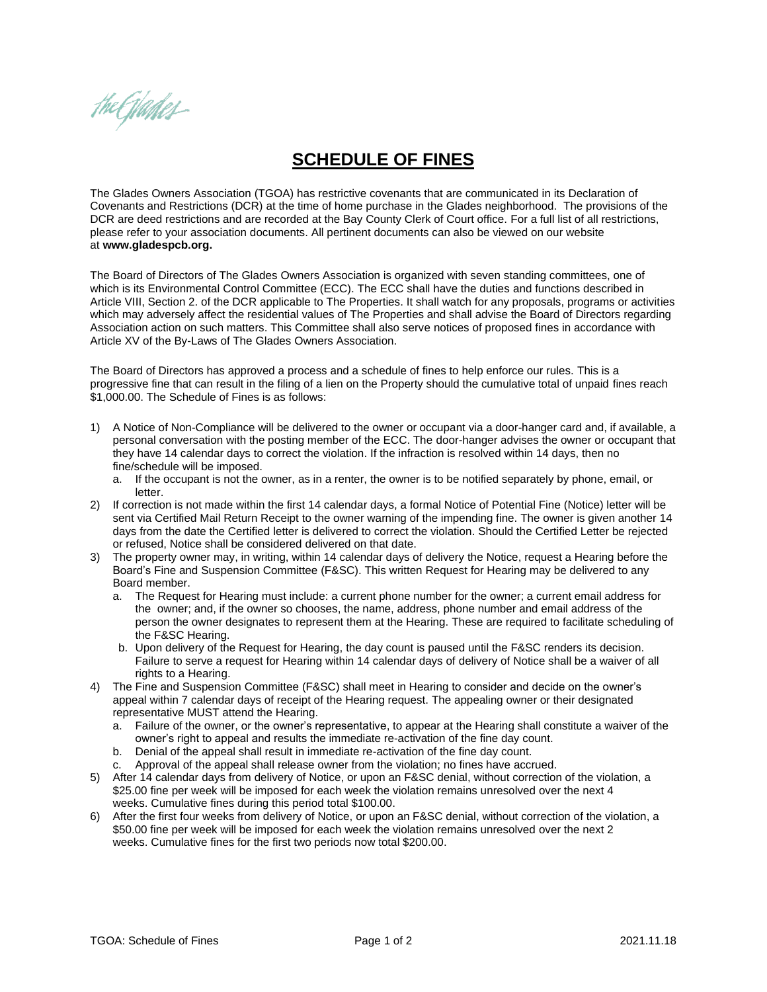the Glantes-

## **SCHEDULE OF FINES**

The Glades Owners Association (TGOA) has restrictive covenants that are communicated in its Declaration of Covenants and Restrictions (DCR) at the time of home purchase in the Glades neighborhood. The provisions of the DCR are deed restrictions and are recorded at the Bay County Clerk of Court office. For a full list of all restrictions, please refer to your association documents. All pertinent documents can also be viewed on our website at **[www.gladespcb.org.](http://www.gladespcb.org/)** 

The Board of Directors of The Glades Owners Association is organized with seven standing committees, one of which is its Environmental Control Committee (ECC). The ECC shall have the duties and functions described in Article VIII, Section 2. of the DCR applicable to The Properties. It shall watch for any proposals, programs or activities which may adversely affect the residential values of The Properties and shall advise the Board of Directors regarding Association action on such matters. This Committee shall also serve notices of proposed fines in accordance with Article XV of the By-Laws of The Glades Owners Association.

The Board of Directors has approved a process and a schedule of fines to help enforce our rules. This is a progressive fine that can result in the filing of a lien on the Property should the cumulative total of unpaid fines reach \$1,000.00. The Schedule of Fines is as follows:

- 1) A Notice of Non-Compliance will be delivered to the owner or occupant via a door-hanger card and, if available, a personal conversation with the posting member of the ECC. The door-hanger advises the owner or occupant that they have 14 calendar days to correct the violation. If the infraction is resolved within 14 days, then no fine/schedule will be imposed.
	- a. If the occupant is not the owner, as in a renter, the owner is to be notified separately by phone, email, or letter.
- 2) If correction is not made within the first 14 calendar days, a formal Notice of Potential Fine (Notice) letter will be sent via Certified Mail Return Receipt to the owner warning of the impending fine. The owner is given another 14 days from the date the Certified letter is delivered to correct the violation. Should the Certified Letter be rejected or refused, Notice shall be considered delivered on that date.
- 3) The property owner may, in writing, within 14 calendar days of delivery the Notice, request a Hearing before the Board's Fine and Suspension Committee (F&SC). This written Request for Hearing may be delivered to any Board member.
	- a. The Request for Hearing must include: a current phone number for the owner; a current email address for the owner; and, if the owner so chooses, the name, address, phone number and email address of the person the owner designates to represent them at the Hearing. These are required to facilitate scheduling of the F&SC Hearing.
	- b. Upon delivery of the Request for Hearing, the day count is paused until the F&SC renders its decision. Failure to serve a request for Hearing within 14 calendar days of delivery of Notice shall be a waiver of all rights to a Hearing.
- 4) The Fine and Suspension Committee (F&SC) shall meet in Hearing to consider and decide on the owner's appeal within 7 calendar days of receipt of the Hearing request. The appealing owner or their designated representative MUST attend the Hearing.
	- a. Failure of the owner, or the owner's representative, to appear at the Hearing shall constitute a waiver of the owner's right to appeal and results the immediate re-activation of the fine day count.
	- b. Denial of the appeal shall result in immediate re-activation of the fine day count.
	- c. Approval of the appeal shall release owner from the violation; no fines have accrued.
- 5) After 14 calendar days from delivery of Notice, or upon an F&SC denial, without correction of the violation, a \$25.00 fine per week will be imposed for each week the violation remains unresolved over the next 4 weeks. Cumulative fines during this period total \$100.00.
- 6) After the first four weeks from delivery of Notice, or upon an F&SC denial, without correction of the violation, a \$50.00 fine per week will be imposed for each week the violation remains unresolved over the next 2 weeks. Cumulative fines for the first two periods now total \$200.00.